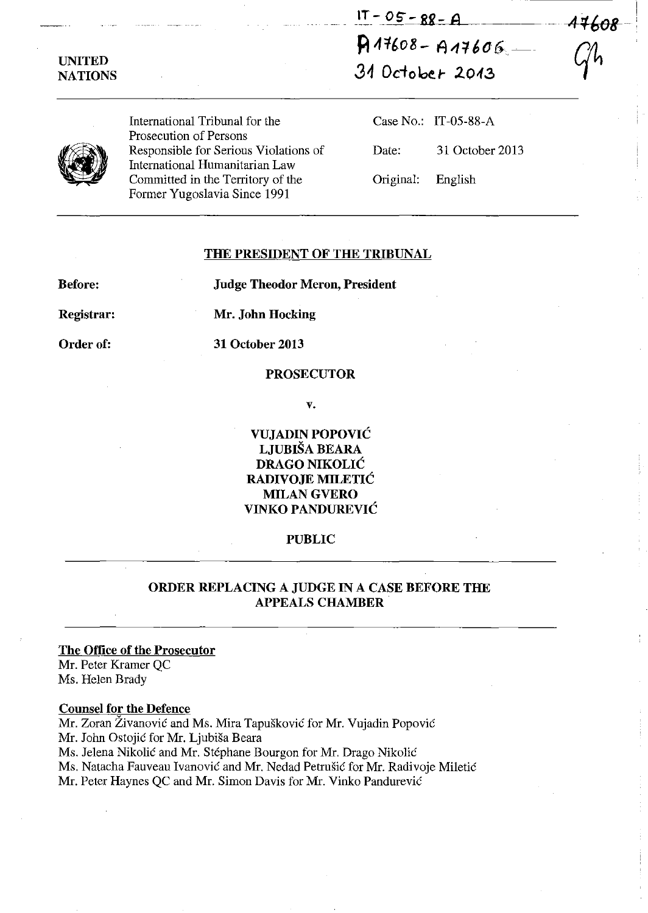$1T - 05 - 88 - A$  $A11608 - A11606$ 

31 October 2013



UNITED NATIONS

> International Tribunal for the Prosecution of Persons Responsible for Serious Violations of International Humanitarian Law Committed in the Territory of the Former Yugoslavia Since 1991

Case No.: IT-OS-88-A Date: 31 October 2013 Original: English

-I

#### THE PRESIDENT OF THE TRIBUNAL

Before:

Judge Theodor Meron, President

Registrar:

Mr. John Hocking

Order of:

# 31 October 2013

#### PROSECUTOR

v.

VUJADIN POPOVIC LJUBISA BEARA DRAGO NIKOLIC RADIVOJE MILETIC MILAN GVERO VINKO PANDUREVIC

### PUBLIC

### ORDER REPLACING A JUDGE IN A CASE BEFORE THE APPEALS CHAMBER

### The Office of the Prosecutor Mr. Peter Kramer QC

Ms. Helen Brady

## Counsel for the Defence

Mr. Zoran Živanović and Ms. Mira Tapušković for Mr. Vujadin Popović Mr. John Ostojic for Mr. Ljubisa Beara Ms. Jelena Nikolic and Mr. Stephane Bourgon for Mr. Drago Nikolic Ms. Natacha Fauveau Ivanovic and Mr. Nedad Petrusic for Mr. Radivoje Miletic Mr. Peter Haynes QC and Mr. Simon Davis for Mr. Vinko Pandurevic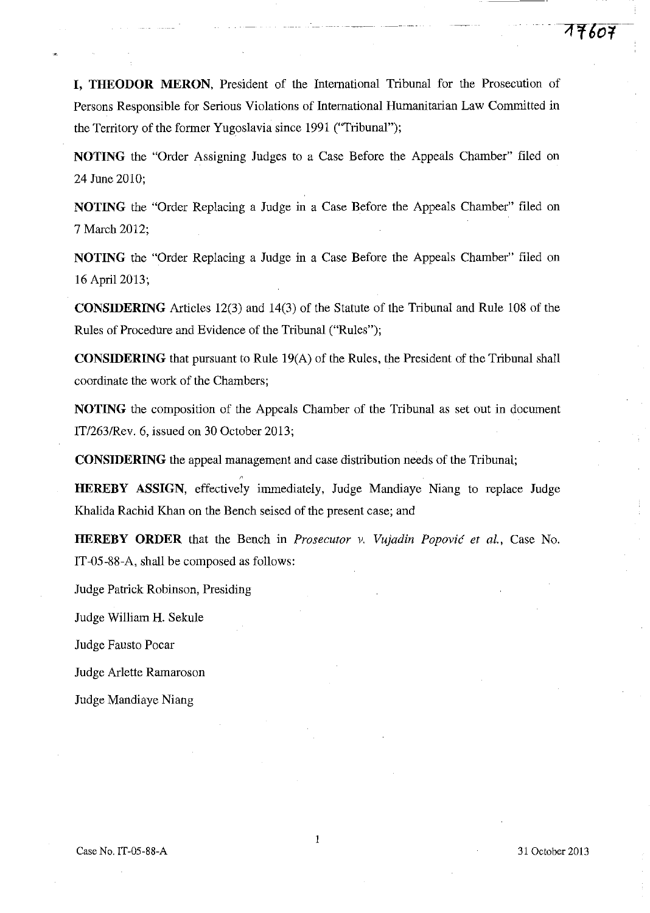**I, THEODOR MERON,** President of the International Tribunal for the Prosecution of Persons Responsible for Serious Violations of International Humanitarian Law Committed in the Territory of the former Yugoslavia since 1991 ("Tribunal");

**NOTING** the "Order Assigning Judges to a Case Before the Appeals Chamber" filed on 24 June 2010;

**NOTING** the "Order Replacing a Judge in a Case Before the Appeals Chamber" filed on 7 March 2012;

**NOTING** the "Order Replacing a Judge in a Case Before the Appeals Chamber" filed on 16 April 2013;

**CONSIDERING** Articles 12(3) and 14(3) of the Statute of the Tribunal and Rule 108 of the Rules of Procedure and Evidence of the Tribunal ("Rules");

**CONSIDERING** that pursuant to Rule 19(A) of the Rules, the President of the Tribunal shall coordinate the work of the Chambers;

**NOTING** the composition of the Appeals Chamber of the Tribunal as set out in document IT/263/Rev. 6, issued on 30 October 2013;

**CONSIDERING** the appeal management and case distribution needs of the Tribunal;

**HEREBY ASSIGN,** effectively immediately, Judge Mandiaye Niang to replace Judge Khalida Rachid Khan on the Bench seised of the present case; and

**HEREBY ORDER** that the Bench in *Prosecutor* v. *Vujadin Popovic et aI.,* Case No. IT-05-88-A, shall be composed as follows:

Judge Patrick Robinson, Presiding

Judge William **H.** Sekule

Judge Fausto Pocar

Judge Arlette Ramaroson

Judge Mandiaye Niang